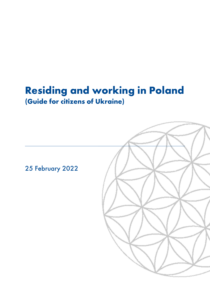# Residing and working in Poland (Guide for citizens of Ukraine)

25 February 2022

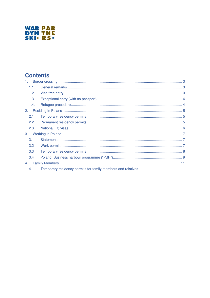

### **Contents:**

| 1. |      |  |  |  |
|----|------|--|--|--|
|    | 1.1. |  |  |  |
|    | 1.2. |  |  |  |
|    | 1.3. |  |  |  |
|    | 1.4. |  |  |  |
| 2. |      |  |  |  |
|    | 2.1  |  |  |  |
|    | 2.2  |  |  |  |
|    | 2.3  |  |  |  |
| 3. |      |  |  |  |
|    | 3.1  |  |  |  |
|    | 3.2  |  |  |  |
|    | 3.3  |  |  |  |
|    | 3.4  |  |  |  |
| 4. |      |  |  |  |
|    | 4.1. |  |  |  |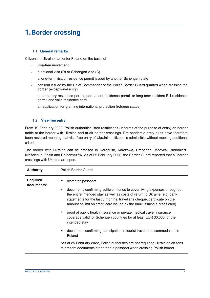### **1. Border crossing**

#### **1.1. General remarks**

Citizens of Ukraine can enter Poland on the basis of:

- visa-free movement
- a national visa (D) or Schengen visa (C)
- a long-term visa or residence permit issued by another Schengen state
- consent issued by the Chief Commander of the Polish Border Guard granted when crossing the border (exceptional entry)
- a temporary residence permit, permanent residence permit or long-term resident EU residence permit and valid residence card
- an application for granting international protection (refugee status)

#### **1.2. Visa-free entry**

From 19 February 2022, Polish authorities lifted restrictions (in terms of the purpose of entry) on border traffic at the border with Ukraine and at air border crossings. Pre-pandemic entry rules have therefore been restored meaning that visa-free entry of Ukrainian citizens is admissible without meeting additional criteria.

The border with Ukraine can be crossed in Dorohusk, Korczowa, Hrebenne, Medyka, Budomierz, Krościenko, Zosin and Dołhobyczów. As of 25 February 2022, the Border Guard reported that all border crossings with Ukraine are open.

| <b>Authority</b>              | Polish Border Guard                                                                                                                                                                                                                                                                                            |  |  |
|-------------------------------|----------------------------------------------------------------------------------------------------------------------------------------------------------------------------------------------------------------------------------------------------------------------------------------------------------------|--|--|
| <b>Required</b><br>documents* | biometric passport                                                                                                                                                                                                                                                                                             |  |  |
|                               | documents confirming sufficient funds to cover living expenses throughout<br>the entire intended stay as well as costs of return to Ukraine (e.g. bank<br>statements for the last 6 months, traveller's cheque, certificate on the<br>amount of limit on credit card issued by the bank issuing a credit card) |  |  |
|                               | proof of public health insurance or private medical travel insurance<br>coverage valid for Schengen countries for at least EUR 30,000 for the<br>intended stay                                                                                                                                                 |  |  |
|                               | documents confirming participation in tourist travel or accommodation in<br>Poland                                                                                                                                                                                                                             |  |  |
|                               | *As of 25 February 2022, Polish authorities are not requiring Ukrainian citizens<br>to present documents other than a passport when crossing Polish border.                                                                                                                                                    |  |  |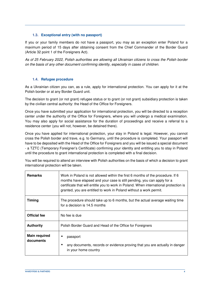#### **1.3. Exceptional entry (with no passport)**

If you or your family members do not have a passport, you may as an exception enter Poland for a maximum period of 15 days after obtaining consent from the Chief Commander of the Border Guard (Article 32 point 1 of the Foreigners Act).

As of 25 February 2022, Polish authorities are allowing all Ukrainian citizens to cross the Polish border on the basis of any other document confirming identity, especially in cases of children.

#### **1.4. Refugee procedure**

As a Ukrainian citizen you can, as a rule, apply for international protection. You can apply for it at the Polish border or at any Border Guard unit.

The decision to grant (or not grant) refugee status or to grant (or not grant) subsidiary protection is taken by the civilian central authority: the Head of the Office for Foreigners.

Once you have submitted your application for international protection, you will be directed to a reception center under the authority of the Office for Foreigners, where you will undergo a medical examination. You may also apply for social assistance for the duration of proceedings and receive a referral to a residence center (you will not, however, be detained there).

Once you have applied for international protection, your stay in Poland is legal. However, you cannot cross the Polish border and trave, e.g. to Germany, until the procedure is completed. Your passport will have to be deposited with the Head of the Office for Foreigners and you will be issued a special document - a TZTC (Temporary Foreigner's Certificate) confirming your identity and entitling you to stay in Poland until the procedure to grant international protection is completed with a final decision.

You will be required to attend an interview with Polish authorities on the basis of which a decision to grant international protection will be taken.

| <b>Remarks</b>                                                                                                                  | Work in Poland is not allowed within the first 6 months of the procedure. If 6<br>months have elapsed and your case is still pending, you can apply for a<br>certificate that will entitle you to work in Poland. When international protection is<br>granted, you are entitled to work in Poland without a work permit. |
|---------------------------------------------------------------------------------------------------------------------------------|--------------------------------------------------------------------------------------------------------------------------------------------------------------------------------------------------------------------------------------------------------------------------------------------------------------------------|
| <b>Timing</b><br>The procedure should take up to 6 months, but the actual average waiting time<br>for a decision is 14.5 months |                                                                                                                                                                                                                                                                                                                          |
| <b>Official fee</b>                                                                                                             | No fee is due                                                                                                                                                                                                                                                                                                            |
| <b>Authority</b>                                                                                                                | Polish Border Guard and Head of the Office for Foreigners                                                                                                                                                                                                                                                                |
| <b>Main required</b><br>documents                                                                                               | passport<br>any documents, records or evidence proving that you are actually in danger<br>in your home country                                                                                                                                                                                                           |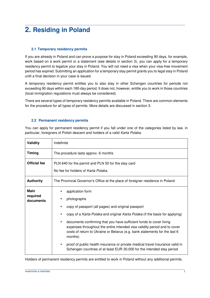## **2. Residing in Poland**

#### **2.1 Temporary residency permits**

If you are already in Poland and can prove a purpose for stay in Poland exceeding 90 days, for example, work based on a work permit or a statement (see details in section 3), you can apply for a temporary residency permit to legalize your stay in Poland. You will not need a visa when your visa-free movement period has expired. Submitting an application for a temporary stay permit grants you to legal stay in Poland until a final decision in your case is issued.

A temporary residency permit entitles you to also stay in other Schengen countries for periods not exceeding 90 days within each 180-day period. It does not, however, entitle you to work in those countries (local immigration regulations must always be considered).

There are several types of temporary residency permits available in Poland. There are common elements for the procedure for all types of permits. More details are discussed in section 3.

#### **2.2 Permanent residency permits**

You can apply for permanent residency permit if you fall under one of the categories listed by law, in particular, foreigners of Polish descent and holders of a valid Karta Polaka.

| Validity                             | Indefinite                                                                                                                                                                                                                                                                                                                                                                                                                                                                                                                                                                    |
|--------------------------------------|-------------------------------------------------------------------------------------------------------------------------------------------------------------------------------------------------------------------------------------------------------------------------------------------------------------------------------------------------------------------------------------------------------------------------------------------------------------------------------------------------------------------------------------------------------------------------------|
| <b>Timing</b>                        | The procedure lasts approx. 6 months                                                                                                                                                                                                                                                                                                                                                                                                                                                                                                                                          |
| Official fee                         | PLN 640 for the permit and PLN 50 for the stay card<br>No fee for holders of Karta Polaka.                                                                                                                                                                                                                                                                                                                                                                                                                                                                                    |
| <b>Authority</b>                     | The Provincial Governor's Office at the place of foreigner residence in Poland                                                                                                                                                                                                                                                                                                                                                                                                                                                                                                |
| <b>Main</b><br>required<br>documents | application form<br>photographs<br>copy of passport (all pages) and original passport<br>copy of a Karta Polaka and original Karta Polaka (if the basis for applying)<br>documents confirming that you have sufficient funds to cover living<br>expenses throughout the entire intended visa validity period and to cover<br>costs of return to Ukraine or Belarus (e.g. bank statements for the last 6<br>months)<br>proof of public health insurance or private medical travel insurance valid in<br>Schengen countries of at least EUR 30,000 for the intended stay period |

Holders of permanent residency permits are entitled to work in Poland without any additional permits.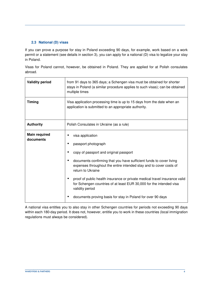#### **2.3 National (D) visas**

If you can prove a purpose for stay in Poland exceeding 90 days, for example, work based on a work permit or a statement (see details in section 3), you can apply for a national (D) visa to legalize your stay in Poland.

Visas for Poland cannot, however, be obtained in Poland. They are applied for at Polish consulates abroad.

| <b>Validity period</b>            | from 91 days to 365 days; a Schengen visa must be obtained for shorter<br>stays in Poland (a similar procedure applies to such visas); can be obtained<br>multiple times                                                                                                                                                                                                                                                                                                                   |
|-----------------------------------|--------------------------------------------------------------------------------------------------------------------------------------------------------------------------------------------------------------------------------------------------------------------------------------------------------------------------------------------------------------------------------------------------------------------------------------------------------------------------------------------|
| <b>Timing</b>                     | Visa application processing time is up to 15 days from the date when an<br>application is submitted to an appropriate authority.                                                                                                                                                                                                                                                                                                                                                           |
| <b>Authority</b>                  | Polish Consulates in Ukraine (as a rule)                                                                                                                                                                                                                                                                                                                                                                                                                                                   |
| <b>Main required</b><br>documents | visa application<br>passport photograph<br>copy of passport and original passport<br>documents confirming that you have sufficient funds to cover living<br>expenses throughout the entire intended stay and to cover costs of<br>return to Ukraine<br>proof of public health insurance or private medical travel insurance valid<br>for Schengen countries of at least EUR 30,000 for the intended visa<br>validity period<br>documents proving basis for stay in Poland for over 90 days |

A national visa entitles you to also stay in other Schengen countries for periods not exceeding 90 days within each 180-day period. It does not, however, entitle you to work in these countries (local immigration regulations must always be considered).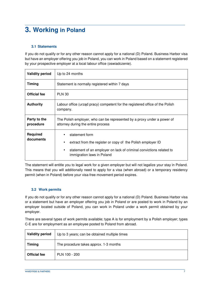# **3. Working in Poland**

### **3.1 Statements**

If you do not qualify or for any other reason cannot apply for a national (D) Poland. Business Harbor visa but have an employer offering you job in Poland, you can work in Poland based on a statement registered by your prospective employer at a local labour office (oswiadczenie).

| <b>Validity period</b>       | Up to 24 months                                                                                                                                                                         |
|------------------------------|-----------------------------------------------------------------------------------------------------------------------------------------------------------------------------------------|
| <b>Timing</b>                | Statement is normally registered within 7 days                                                                                                                                          |
| <b>Official fee</b>          | <b>PLN 30</b>                                                                                                                                                                           |
| <b>Authority</b>             | Labour office (urząd pracy) competent for the registered office of the Polish<br>company.                                                                                               |
| Party to the<br>procedure    | The Polish employer, who can be represented by a proxy under a power of<br>attorney during the entire process                                                                           |
| <b>Required</b><br>documents | statement form<br>extract from the register or copy of the Polish employer ID<br>statement of an employer on lack of criminal convictions related to<br>٠<br>immigration laws in Poland |

The statement will entitle you to legal work for a given employer but will not legalize your stay in Poland. This means that you will additionally need to apply for a visa (when abroad) or a temporary residency permit (when in Poland) before your visa-free movement period expires.

#### **3.2 Work permits**

If you do not qualify or for any other reason cannot apply for a national (D) Poland. Business Harbor visa or a statement but have an employer offering you job in Poland or are posted to work in Poland by an employer located outside of Poland, you can work in Poland under a work permit obtained by your employer.

There are several types of work permits available; type A is for employment by a Polish employer; types C-E are for employment as an employee posted to Poland from abroad.

| <b>Validity period</b> | Up to 3 years; can be obtained multiple times |
|------------------------|-----------------------------------------------|
| <b>Timing</b>          | The procedure takes approx. 1-3 months        |
| <b>Official fee</b>    | PLN 100 - 200                                 |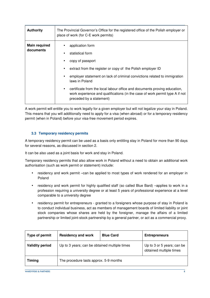| <b>Authority</b>                  | The Provincial Governor's Office for the registered office of the Polish employer or<br>place of work (for C-E work permits)                                                                                                                                                                                                                                                                                    |  |
|-----------------------------------|-----------------------------------------------------------------------------------------------------------------------------------------------------------------------------------------------------------------------------------------------------------------------------------------------------------------------------------------------------------------------------------------------------------------|--|
| <b>Main required</b><br>documents | application form<br>statistical form<br>copy of passport<br>extract from the register or copy of the Polish employer ID<br>employer statement on lack of criminal convictions related to immigration<br>laws in Poland<br>certificate from the local labour office and documents proving education,<br>work experience and qualifications (in the case of work permit type A if not<br>preceded by a statement) |  |

A work permit will entitle you to work legally for a given employer but will not legalize your stay in Poland. This means that you will additionally need to apply for a visa (when abroad) or for a temporary residency permit (when in Poland) before your visa-free movement period expires.

#### **3.3 Temporary residency permits**

A temporary residency permit can be used as a basis only entitling stay in Poland for more than 90 days for several reasons, as discussed in section 2.

It can be also used as a joint basis for work and stay in Poland.

Temporary residency permits that also allow work in Poland without a need to obtain an additional work authorisation (such as work permit or statement) include:

- residency and work permit –can be applied to most types of work rendered for an employer in Poland
- residency and work permit for highly qualified staff (so called Blue Bard) –applies to work in a profession requiring a university degree or at least 5 years of professional experience at a level comparable to a university degree
- residency permit for entrepreneurs granted to a foreigners whose purpose of stay in Poland is to conduct individual business, act as members of management boards of limited liability or joint stock companies whose shares are held by the foreigner, manage the affairs of a limited partnership or limited joint-stock partnership by a general partner, or act as a commercial proxy.

| Type of permit         | <b>Residency and work</b>                     | <b>Blue Card</b> | <b>Entrepreneurs</b>                                  |
|------------------------|-----------------------------------------------|------------------|-------------------------------------------------------|
| <b>Validity period</b> | Up to 3 years; can be obtained multiple times |                  | Up to 3 or 5 years; can be<br>obtained multiple times |
| <b>Timing</b>          | The procedure lasts approx. 5-9 months        |                  |                                                       |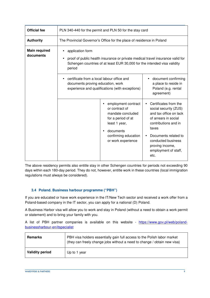| <b>Official fee</b>               | PLN 340-440 for the permit and PLN 50 for the stay card                                                                                                                                               |                                                                                                                |                                                                                                                                                |
|-----------------------------------|-------------------------------------------------------------------------------------------------------------------------------------------------------------------------------------------------------|----------------------------------------------------------------------------------------------------------------|------------------------------------------------------------------------------------------------------------------------------------------------|
| <b>Authority</b>                  | The Provincial Governor's Office for the place of residence in Poland                                                                                                                                 |                                                                                                                |                                                                                                                                                |
| <b>Main required</b><br>documents | application form<br>proof of public health insurance or private medical travel insurance valid for<br>$\bullet$<br>Schengen countries of at least EUR 30,000 for the intended visa validity<br>period |                                                                                                                |                                                                                                                                                |
|                                   | certificate from a local labour office and<br>documents proving education, work<br>experience and qualifications (with exceptions)                                                                    |                                                                                                                | document confirming<br>a place to reside in<br>Poland (e.g. rental<br>agreement)                                                               |
|                                   |                                                                                                                                                                                                       | employment contract<br>or contract of<br>mandate concluded<br>for a period of at<br>least 1 year,<br>documents | Certificates from the<br>$\bullet$<br>social security (ZUS)<br>and tax office on lack<br>of arrears in social<br>contributions and in<br>taxes |
|                                   |                                                                                                                                                                                                       | confirming education<br>or work experience                                                                     | Documents related to<br>conducted business<br>proving income,<br>employment of staff,<br>etc.                                                  |

The above residency permits also entitle stay in other Schengen countries for periods not exceeding 90 days within each 180-day period. They do not, however, entitle work in these countries (local immigration regulations must always be considered).

#### **3.4 Poland. Business harbour programme ("PBH")**

If you are educated or have work experience in the IT/New Tech sector and received a work offer from a Poland-based company in the IT sector, you can apply for a national (D) Poland.

A Business Harbor visa will allow you to work and stay in Poland (without a need to obtain a work permit or statement) and to bring your family with you.

A list of PBH partner companies is available on this website - https://www.gov.pl/web/polandbusinessharbour-en/itspecialist

| <b>Remarks</b>         | PBH visa holders essentially gain full access to the Polish labor market<br>(they can freely change jobs without a need to change / obtain new visa) |
|------------------------|------------------------------------------------------------------------------------------------------------------------------------------------------|
| <b>Validity period</b> | Up to 1 year                                                                                                                                         |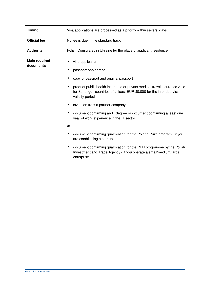| <b>Timing</b>                     | Visa applications are processed as a priority within several days                                                                                                                                                                                                                                                                                                                                                                                                                                                                                                                                                                                                                            |  |
|-----------------------------------|----------------------------------------------------------------------------------------------------------------------------------------------------------------------------------------------------------------------------------------------------------------------------------------------------------------------------------------------------------------------------------------------------------------------------------------------------------------------------------------------------------------------------------------------------------------------------------------------------------------------------------------------------------------------------------------------|--|
| <b>Official fee</b>               | No fee is due in the standard track                                                                                                                                                                                                                                                                                                                                                                                                                                                                                                                                                                                                                                                          |  |
| <b>Authority</b>                  | Polish Consulates in Ukraine for the place of applicant residence                                                                                                                                                                                                                                                                                                                                                                                                                                                                                                                                                                                                                            |  |
| <b>Main required</b><br>documents | visa application<br>passport photograph<br>copy of passport and original passport<br>proof of public health insurance or private medical travel insurance valid<br>for Schengen countries of at least EUR 30,000 for the intended visa<br>validity period<br>invitation from a partner company<br>document confirming an IT degree or document confirming a least one<br>year of work experience in the IT sector<br>or<br>document confirming qualification for the Poland Prize program - if you<br>are establishing a startup<br>document confirming qualification for the PBH programme by the Polish<br>Investment and Trade Agency - if you operate a small/medium/large<br>enterprise |  |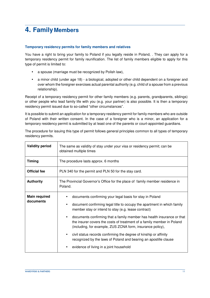# **4. Family Members**

#### **Temporary residency permits for family members and relatives**

You have a right to bring your family to Poland if you legally reside in Poland, . They can apply for a temporary residency permit for family reunification. The list of family members eligible to apply for this type of permit is limited to:

- a spouse (marriage must be recognized by Polish law),
- a minor child (under age 18) a biological, adopted or other child dependent on a foreigner and over whom the foreigner exercises actual parental authority (e.g. child of a spouse from a previous relationship).

Receipt of a temporary residency permit for other family members (e.g. parents, grandparents, siblings) or other people who lead family life with you (e.g. your partner) is also possible. It is then a temporary residency permit issued due to so-called "other circumstances".

It is possible to submit an application for a temporary residency permit for family members who are outside of Poland with their written consent. In the case of a foreigner who is a minor, an application for a temporary residency permit is submitted by at least one of the parents or court-appointed guardians.

|                    | The procedure for issuing this type of permit follows general principles common to all types of temporary |  |
|--------------------|-----------------------------------------------------------------------------------------------------------|--|
| residency permits. |                                                                                                           |  |
|                    |                                                                                                           |  |

| <b>Validity period</b>            | The same as validity of stay under your visa or residency permit; can be<br>obtained multiple times                                                                                                                                                                                                                                                                                                                                                                                                                                                                                                                        |  |  |
|-----------------------------------|----------------------------------------------------------------------------------------------------------------------------------------------------------------------------------------------------------------------------------------------------------------------------------------------------------------------------------------------------------------------------------------------------------------------------------------------------------------------------------------------------------------------------------------------------------------------------------------------------------------------------|--|--|
| <b>Timing</b>                     | The procedure lasts approx. 6 months                                                                                                                                                                                                                                                                                                                                                                                                                                                                                                                                                                                       |  |  |
| <b>Official fee</b>               | PLN 340 for the permit and PLN 50 for the stay card.                                                                                                                                                                                                                                                                                                                                                                                                                                                                                                                                                                       |  |  |
| <b>Authority</b>                  | The Provincial Governor's Office for the place of family member residence in<br>Poland.                                                                                                                                                                                                                                                                                                                                                                                                                                                                                                                                    |  |  |
| <b>Main required</b><br>documents | documents confirming your legal basis for stay in Poland<br>document confirming legal title to occupy the apartment in which family<br>member stay or intend to stay (e.g. lease contract)<br>documents confirming that a family member has health insurance or that<br>$\bullet$<br>the insurer covers the costs of treatment of a family member in Poland<br>(including, for example, ZUS ZCNA form, insurance policy),<br>civil status records confirming the degree of kinship or affinity<br>$\bullet$<br>recognized by the laws of Poland and bearing an apostille clause<br>evidence of living in a joint household |  |  |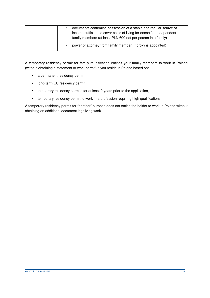|  | documents confirming possession of a stable and regular source of<br>income sufficient to cover costs of living for oneself and dependent<br>family members (at least PLN 600 net per person in a family) |
|--|-----------------------------------------------------------------------------------------------------------------------------------------------------------------------------------------------------------|
|  | power of attorney from family member (if proxy is appointed)                                                                                                                                              |

A temporary residency permit for family reunification entitles your family members to work in Poland (without obtaining a statement or work permit) if you reside in Poland based on:

- a permanent residency permit,
- long-term EU residency permit,
- temporary residency permits for at least 2 years prior to the application,
- temporary residency permit to work in a profession requiring high qualifications.

A temporary residency permit for "another" purpose does not entitle the holder to work in Poland without obtaining an additional document legalizing work.